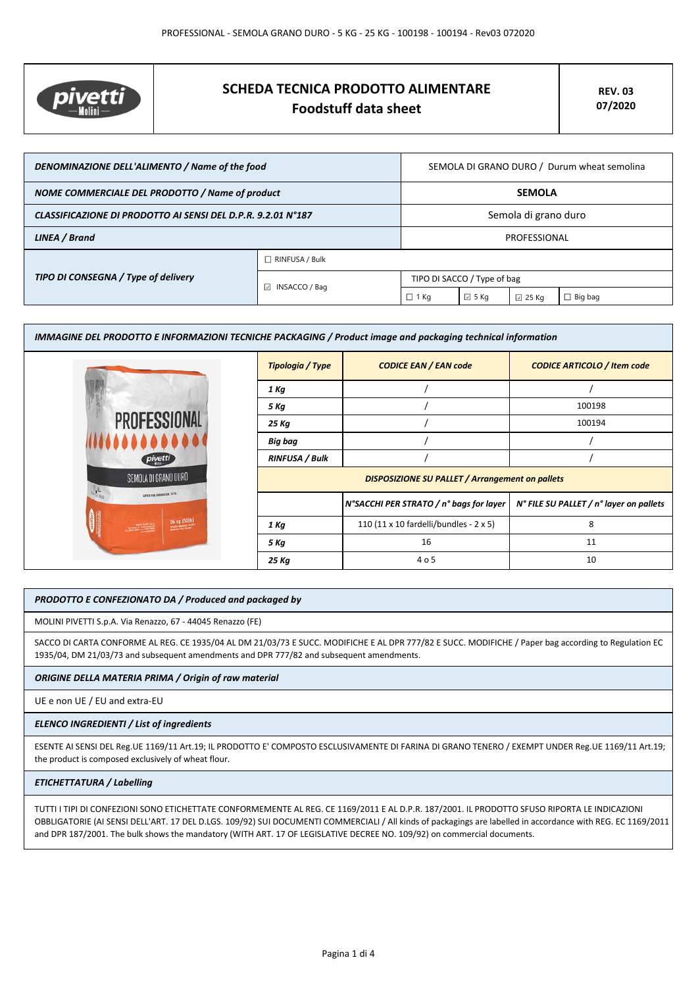

# **SCHEDA TECNICA PRODOTTO ALIMENTARE Foodstuff data sheet**

| DENOMINAZIONE DELL'ALIMENTO / Name of the food               |                         | SEMOLA DI GRANO DURO / Durum wheat semolina |                |                 |         |
|--------------------------------------------------------------|-------------------------|---------------------------------------------|----------------|-----------------|---------|
| NOME COMMERCIALE DEL PRODOTTO / Name of product              |                         | <b>SEMOLA</b>                               |                |                 |         |
| CLASSIFICAZIONE DI PRODOTTO AI SENSI DEL D.P.R. 9.2.01 N°187 |                         | Semola di grano duro                        |                |                 |         |
| LINEA / Brand                                                |                         | PROFESSIONAL                                |                |                 |         |
| TIPO DI CONSEGNA / Type of delivery                          | $\Box$ RINFUSA / Bulk   |                                             |                |                 |         |
|                                                              | $\boxdot$ INSACCO / Bag | TIPO DI SACCO / Type of bag                 |                |                 |         |
|                                                              |                         | $\Box$ 1 Kg                                 | $\boxdot$ 5 Kg | $\boxdot$ 25 Kg | Big bag |

| IMMAGINE DEL PRODOTTO E INFORMAZIONI TECNICHE PACKAGING / Product image and packaging technical information |                       |                                                        |                                         |  |  |
|-------------------------------------------------------------------------------------------------------------|-----------------------|--------------------------------------------------------|-----------------------------------------|--|--|
|                                                                                                             | Tipologia / Type      | <b>CODICE EAN / EAN code</b>                           | <b>CODICE ARTICOLO / Item code</b>      |  |  |
|                                                                                                             | 1 Kg                  |                                                        |                                         |  |  |
|                                                                                                             | 5 Kg                  |                                                        | 100198                                  |  |  |
| <b>PROFESSIONAL</b>                                                                                         | 25 Kg                 |                                                        | 100194                                  |  |  |
|                                                                                                             | <b>Big bag</b>        |                                                        |                                         |  |  |
| pivetti                                                                                                     | <b>RINFUSA / Bulk</b> |                                                        |                                         |  |  |
| SEMOLA DI GRANO DURO                                                                                        |                       | <b>DISPOSIZIONE SU PALLET / Arrangement on pallets</b> |                                         |  |  |
| SAPER FAIR FARINA DAL 1875                                                                                  |                       | N°SACCHI PER STRATO / n° bags for layer                | N° FILE SU PALLET / n° layer on pallets |  |  |
| 25 kg (55lb)                                                                                                | 1 Kg                  | 110 (11 x 10 fardelli/bundles - 2 x 5)                 | 8                                       |  |  |
|                                                                                                             | 5 Kg                  | 16                                                     | 11                                      |  |  |
|                                                                                                             | 25 Kg                 | 4 o 5                                                  | 10                                      |  |  |

## *PRODOTTO E CONFEZIONATO DA / Produced and packaged by*

MOLINI PIVETTI S.p.A. Via Renazzo, 67 - 44045 Renazzo (FE)

SACCO DI CARTA CONFORME AL REG. CE 1935/04 AL DM 21/03/73 E SUCC. MODIFICHE E AL DPR 777/82 E SUCC. MODIFICHE / Paper bag according to Regulation EC 1935/04, DM 21/03/73 and subsequent amendments and DPR 777/82 and subsequent amendments.

#### *ORIGINE DELLA MATERIA PRIMA / Origin of raw material*

UE e non UE / EU and extra-EU

### *ELENCO INGREDIENTI / List of ingredients*

ESENTE AI SENSI DEL Reg.UE 1169/11 Art.19; IL PRODOTTO E' COMPOSTO ESCLUSIVAMENTE DI FARINA DI GRANO TENERO / EXEMPT UNDER Reg.UE 1169/11 Art.19; the product is composed exclusively of wheat flour.

#### *ETICHETTATURA / Labelling*

TUTTI I TIPI DI CONFEZIONI SONO ETICHETTATE CONFORMEMENTE AL REG. CE 1169/2011 E AL D.P.R. 187/2001. IL PRODOTTO SFUSO RIPORTA LE INDICAZIONI OBBLIGATORIE (AI SENSI DELL'ART. 17 DEL D.LGS. 109/92) SUI DOCUMENTI COMMERCIALI / All kinds of packagings are labelled in accordance with REG. EC 1169/2011 and DPR 187/2001. The bulk shows the mandatory (WITH ART. 17 OF LEGISLATIVE DECREE NO. 109/92) on commercial documents.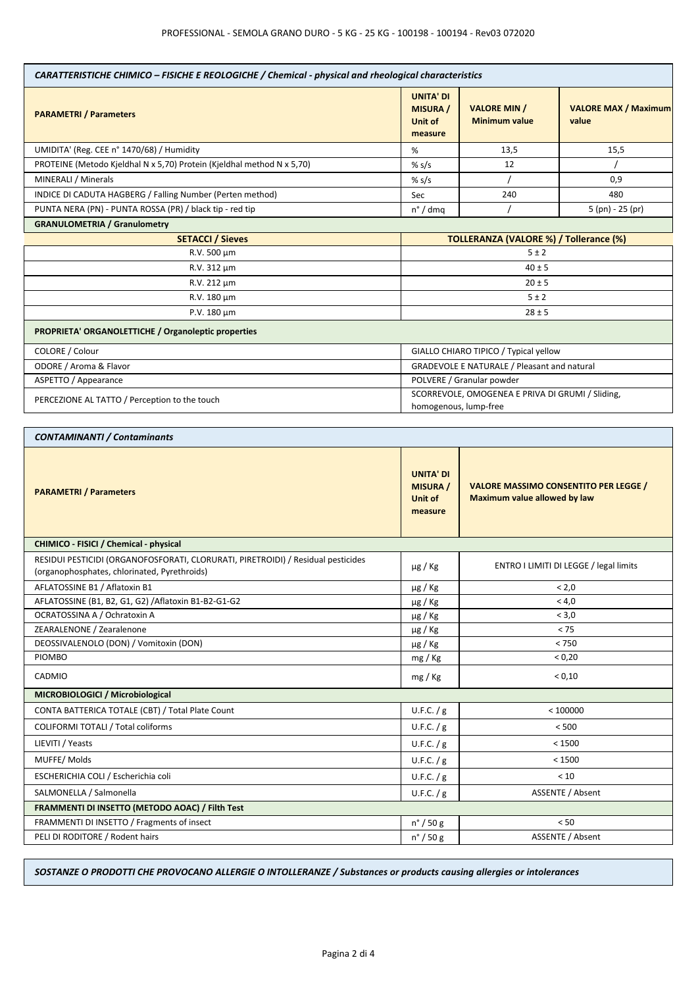| CARATTERISTICHE CHIMICO - FISICHE E REOLOGICHE / Chemical - physical and rheological characteristics |                                                           |                                             |                                      |
|------------------------------------------------------------------------------------------------------|-----------------------------------------------------------|---------------------------------------------|--------------------------------------|
| <b>PARAMETRI / Parameters</b>                                                                        | <b>UNITA' DI</b><br><b>MISURA</b> /<br>Unit of<br>measure | <b>VALORE MIN /</b><br><b>Minimum value</b> | <b>VALORE MAX / Maximum</b><br>value |
| UMIDITA' (Reg. CEE n° 1470/68) / Humidity                                                            | %                                                         | 13,5                                        | 15,5                                 |
| PROTEINE (Metodo Kieldhal N x 5,70) Protein (Kieldhal method N x 5,70)                               | % s/s                                                     | 12                                          |                                      |
| MINERALI / Minerals                                                                                  | % s/s                                                     |                                             | 0,9                                  |
| INDICE DI CADUTA HAGBERG / Falling Number (Perten method)                                            | Sec                                                       | 240                                         | 480                                  |
| PUNTA NERA (PN) - PUNTA ROSSA (PR) / black tip - red tip                                             | n°/dmq                                                    |                                             | $5$ (pn) - 25 (pr)                   |
| <b>GRANULOMETRIA / Granulometry</b>                                                                  |                                                           |                                             |                                      |
| <b>SETACCL</b> / Sieves<br>$T$ OLLERANZA (VALORE %) / $T$ ollerançe (%)                              |                                                           |                                             |                                      |

| <b>SETACCI / Sieves</b>                             | TOLLERANZA (VALORE %) / Tollerance (%)                                    |
|-----------------------------------------------------|---------------------------------------------------------------------------|
| R.V. 500 µm                                         | 5±2                                                                       |
| R.V. 312 µm                                         | $40 \pm 5$                                                                |
| R.V. 212 µm                                         | $20 \pm 5$                                                                |
| R.V. 180 um                                         | 5±2                                                                       |
| P.V. 180 µm                                         | $28 \pm 5$                                                                |
| PROPRIETA' ORGANOLETTICHE / Organoleptic properties |                                                                           |
| COLORE / Colour                                     | GIALLO CHIARO TIPICO / Typical yellow                                     |
| ODORE / Aroma & Flavor                              | <b>GRADEVOLE E NATURALE / Pleasant and natural</b>                        |
| ASPETTO / Appearance                                | POLVERE / Granular powder                                                 |
| PERCEZIONE AL TATTO / Perception to the touch       | SCORREVOLE, OMOGENEA E PRIVA DI GRUMI / Sliding,<br>homogenous, lump-free |

| <b>CONTAMINANTI / Contaminants</b>                                                                                               |                                                           |                                                                                     |  |
|----------------------------------------------------------------------------------------------------------------------------------|-----------------------------------------------------------|-------------------------------------------------------------------------------------|--|
| <b>PARAMETRI / Parameters</b>                                                                                                    | <b>UNITA' DI</b><br><b>MISURA</b> /<br>Unit of<br>measure | <b>VALORE MASSIMO CONSENTITO PER LEGGE /</b><br><b>Maximum value allowed by law</b> |  |
| CHIMICO - FISICI / Chemical - physical                                                                                           |                                                           |                                                                                     |  |
| RESIDUI PESTICIDI (ORGANOFOSFORATI, CLORURATI, PIRETROIDI) / Residual pesticides<br>(organophosphates, chlorinated, Pyrethroids) | $\mu$ g / Kg                                              | ENTRO I LIMITI DI LEGGE / legal limits                                              |  |
| AFLATOSSINE B1 / Aflatoxin B1                                                                                                    | $\mu$ g / Kg                                              | < 2.0                                                                               |  |
| AFLATOSSINE (B1, B2, G1, G2) / Aflatoxin B1-B2-G1-G2                                                                             | $\mu$ g / Kg                                              | < 4.0                                                                               |  |
| OCRATOSSINA A / Ochratoxin A                                                                                                     | $\mu$ g / Kg                                              | < 3,0                                                                               |  |
| ZEARALENONE / Zearalenone                                                                                                        | $\mu$ g / Kg                                              | < 75                                                                                |  |
| DEOSSIVALENOLO (DON) / Vomitoxin (DON)                                                                                           | $\mu$ g / Kg                                              | < 750                                                                               |  |
| <b>PIOMBO</b>                                                                                                                    | mg / Kg                                                   | < 0,20                                                                              |  |
| CADMIO                                                                                                                           | mg / Kg                                                   | < 0.10                                                                              |  |
| MICROBIOLOGICI / Microbiological                                                                                                 |                                                           |                                                                                     |  |
| CONTA BATTERICA TOTALE (CBT) / Total Plate Count                                                                                 | U.F.C. / g                                                | < 100000                                                                            |  |
| COLIFORMI TOTALI / Total coliforms                                                                                               | U.F.C. / g                                                | < 500                                                                               |  |
| LIEVITI / Yeasts                                                                                                                 | U.F.C. / g                                                | < 1500                                                                              |  |
| MUFFE/Molds                                                                                                                      | U.F.C. / g                                                | < 1500                                                                              |  |
| ESCHERICHIA COLI / Escherichia coli                                                                                              | U.F.C. / g                                                | < 10                                                                                |  |
| SALMONELLA / Salmonella                                                                                                          | U.F.C. / g                                                | <b>ASSENTE / Absent</b>                                                             |  |
| FRAMMENTI DI INSETTO (METODO AOAC) / Filth Test                                                                                  |                                                           |                                                                                     |  |
| FRAMMENTI DI INSETTO / Fragments of insect                                                                                       | $n^{\circ}$ / 50 g                                        | < 50                                                                                |  |
| PELI DI RODITORE / Rodent hairs                                                                                                  | $n^{\circ}$ / 50 g                                        | ASSENTE / Absent                                                                    |  |

*SOSTANZE O PRODOTTI CHE PROVOCANO ALLERGIE O INTOLLERANZE / Substances or products causing allergies or intolerances*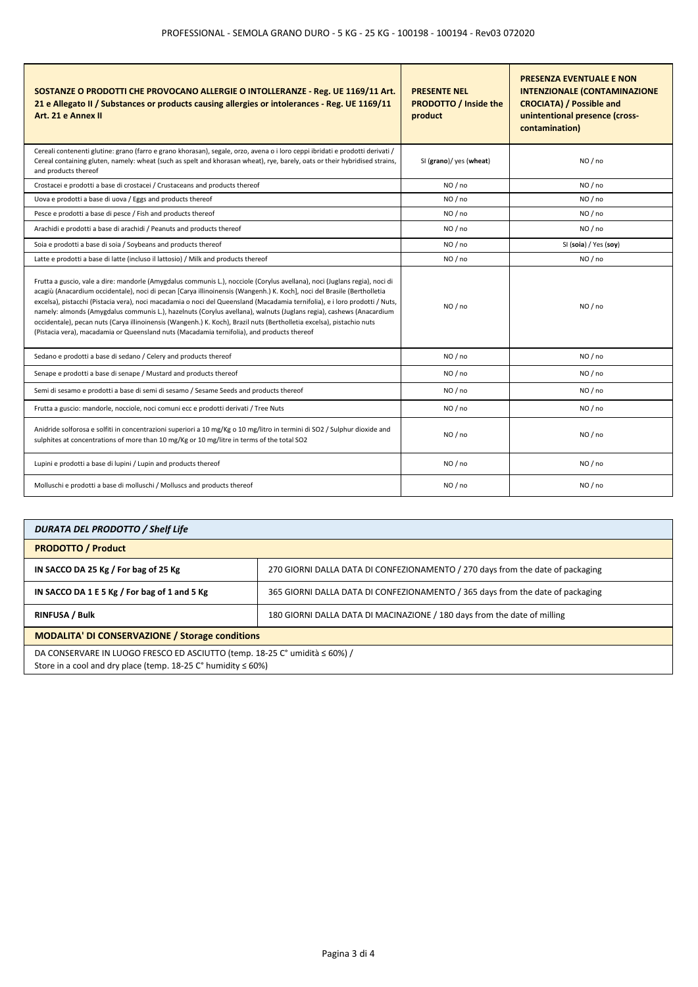| SOSTANZE O PRODOTTI CHE PROVOCANO ALLERGIE O INTOLLERANZE - Reg. UE 1169/11 Art.<br>21 e Allegato II / Substances or products causing allergies or intolerances - Reg. UE 1169/11<br>Art. 21 e Annex II                                                                                                                                                                                                                                                                                                                                                                                                                                                                                                                            | <b>PRESENTE NEL</b><br><b>PRODOTTO / Inside the</b><br>product | <b>PRESENZA EVENTUALE E NON</b><br><b>INTENZIONALE (CONTAMINAZIONE</b><br><b>CROCIATA) / Possible and</b><br>unintentional presence (cross-<br>contamination) |
|------------------------------------------------------------------------------------------------------------------------------------------------------------------------------------------------------------------------------------------------------------------------------------------------------------------------------------------------------------------------------------------------------------------------------------------------------------------------------------------------------------------------------------------------------------------------------------------------------------------------------------------------------------------------------------------------------------------------------------|----------------------------------------------------------------|---------------------------------------------------------------------------------------------------------------------------------------------------------------|
| Cereali contenenti glutine: grano (farro e grano khorasan), segale, orzo, avena o i loro ceppi ibridati e prodotti derivati /<br>Cereal containing gluten, namely: wheat (such as spelt and khorasan wheat), rye, barely, oats or their hybridised strains,<br>and products thereof                                                                                                                                                                                                                                                                                                                                                                                                                                                | SI (grano)/ yes (wheat)                                        | NO / no                                                                                                                                                       |
| Crostacei e prodotti a base di crostacei / Crustaceans and products thereof                                                                                                                                                                                                                                                                                                                                                                                                                                                                                                                                                                                                                                                        | NO / no                                                        | NO / no                                                                                                                                                       |
| Uova e prodotti a base di uova / Eggs and products thereof                                                                                                                                                                                                                                                                                                                                                                                                                                                                                                                                                                                                                                                                         | NO/no                                                          | NO/no                                                                                                                                                         |
| Pesce e prodotti a base di pesce / Fish and products thereof                                                                                                                                                                                                                                                                                                                                                                                                                                                                                                                                                                                                                                                                       | NO / no                                                        | NO / no                                                                                                                                                       |
| Arachidi e prodotti a base di arachidi / Peanuts and products thereof                                                                                                                                                                                                                                                                                                                                                                                                                                                                                                                                                                                                                                                              | NO/no                                                          | NO/no                                                                                                                                                         |
| Soia e prodotti a base di soia / Soybeans and products thereof                                                                                                                                                                                                                                                                                                                                                                                                                                                                                                                                                                                                                                                                     | NO / no                                                        | SI (soia) / Yes (soy)                                                                                                                                         |
| Latte e prodotti a base di latte (incluso il lattosio) / Milk and products thereof                                                                                                                                                                                                                                                                                                                                                                                                                                                                                                                                                                                                                                                 | NO/no                                                          | NO/no                                                                                                                                                         |
| Frutta a guscio, vale a dire: mandorle (Amygdalus communis L.), nocciole (Corylus avellana), noci (Juglans regia), noci di<br>acagiù (Anacardium occidentale), noci di pecan [Carya illinoinensis (Wangenh.) K. Koch], noci del Brasile (Bertholletia<br>excelsa), pistacchi (Pistacia vera), noci macadamia o noci del Queensland (Macadamia ternifolia), e i loro prodotti / Nuts,<br>namely: almonds (Amygdalus communis L.), hazelnuts (Corylus avellana), walnuts (Juglans regia), cashews (Anacardium<br>occidentale), pecan nuts (Carya illinoinensis (Wangenh.) K. Koch), Brazil nuts (Bertholletia excelsa), pistachio nuts<br>(Pistacia vera), macadamia or Queensland nuts (Macadamia ternifolia), and products thereof | NO / no                                                        | NO / no                                                                                                                                                       |
| Sedano e prodotti a base di sedano / Celery and products thereof                                                                                                                                                                                                                                                                                                                                                                                                                                                                                                                                                                                                                                                                   | NO / no                                                        | NO / no                                                                                                                                                       |
| Senape e prodotti a base di senape / Mustard and products thereof                                                                                                                                                                                                                                                                                                                                                                                                                                                                                                                                                                                                                                                                  | NO / no                                                        | NO / no                                                                                                                                                       |
| Semi di sesamo e prodotti a base di semi di sesamo / Sesame Seeds and products thereof                                                                                                                                                                                                                                                                                                                                                                                                                                                                                                                                                                                                                                             | NO/no                                                          | NO/no                                                                                                                                                         |
| Frutta a guscio: mandorle, nocciole, noci comuni ecc e prodotti derivati / Tree Nuts                                                                                                                                                                                                                                                                                                                                                                                                                                                                                                                                                                                                                                               | NO / no                                                        | NO / no                                                                                                                                                       |
| Anidride solforosa e solfiti in concentrazioni superiori a 10 mg/Kg o 10 mg/litro in termini di SO2 / Sulphur dioxide and<br>sulphites at concentrations of more than 10 mg/Kg or 10 mg/litre in terms of the total SO2                                                                                                                                                                                                                                                                                                                                                                                                                                                                                                            | NO / no                                                        | NO / no                                                                                                                                                       |
| Lupini e prodotti a base di lupini / Lupin and products thereof                                                                                                                                                                                                                                                                                                                                                                                                                                                                                                                                                                                                                                                                    | NO / no                                                        | NO / no                                                                                                                                                       |
| Molluschi e prodotti a base di molluschi / Molluscs and products thereof                                                                                                                                                                                                                                                                                                                                                                                                                                                                                                                                                                                                                                                           | NO / no                                                        | NO / no                                                                                                                                                       |

| <b>DURATA DEL PRODOTTO / Shelf Life</b>                                                                                                                     |                                                                                |  |
|-------------------------------------------------------------------------------------------------------------------------------------------------------------|--------------------------------------------------------------------------------|--|
| <b>PRODOTTO / Product</b>                                                                                                                                   |                                                                                |  |
| IN SACCO DA 25 Kg / For bag of 25 Kg                                                                                                                        | 270 GIORNI DALLA DATA DI CONFEZIONAMENTO / 270 days from the date of packaging |  |
| IN SACCO DA 1 E 5 Kg / For bag of 1 and 5 Kg                                                                                                                | 365 GIORNI DALLA DATA DI CONFEZIONAMENTO / 365 days from the date of packaging |  |
| <b>RINFUSA / Bulk</b>                                                                                                                                       | 180 GIORNI DALLA DATA DI MACINAZIONE / 180 days from the date of milling       |  |
| <b>MODALITA' DI CONSERVAZIONE / Storage conditions</b>                                                                                                      |                                                                                |  |
| DA CONSERVARE IN LUOGO FRESCO ED ASCIUTTO (temp. 18-25 C° umidità ≤ 60%) /<br>Store in a cool and dry place (temp. 18-25 $C^{\circ}$ humidity $\leq 60\%$ ) |                                                                                |  |